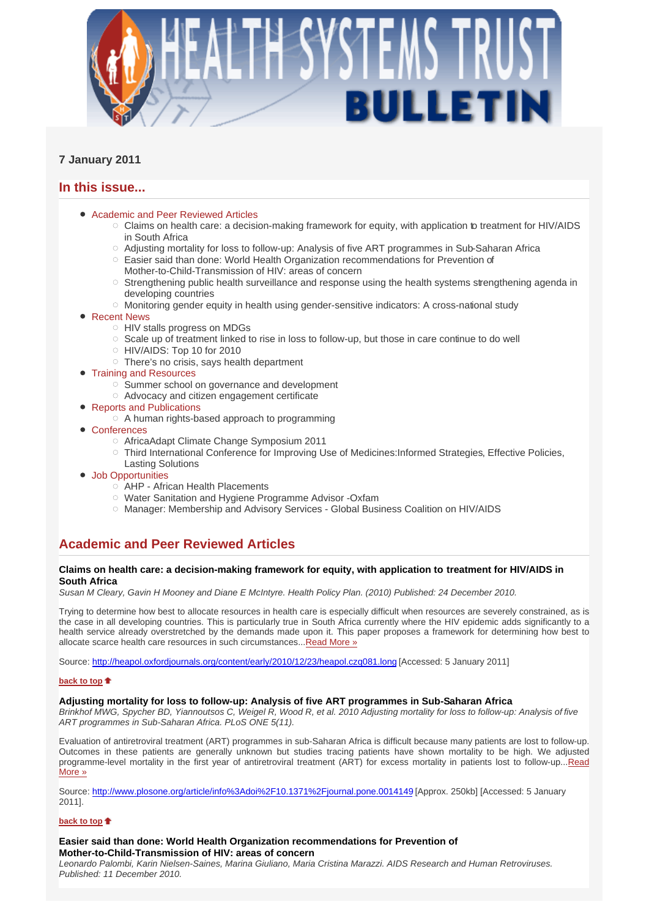

# **7 January 2011**

## **In this issue...**

- Academic and Peer Reviewed Articles
	- $\circ$  Claims on health care: a decision-making framework for equity, with application to treatment for HIV/AIDS in South Africa
	- Adjusting mortality for loss to follow-up: Analysis of five ART programmes in Sub-Saharan Africa
	- $\circ$  Easier said than done: World Health Organization recommendations for Prevention of Mother-to-Child-Transmission of HIV: areas of concern
	- $\circ$  Strengthening public health surveillance and response using the health systems strengthening agenda in developing countries
	- $\circ$  Monitoring gender equity in health using gender-sensitive indicators: A cross-national study
- Recent News
	- HIV stalls progress on MDGs
	- $\circ$  Scale up of treatment linked to rise in loss to follow-up, but those in care continue to do well
	- HIV/AIDS: Top 10 for 2010
	- $\circ$  There's no crisis, says health department
- Training and Resources
	- o Summer school on governance and development
	- Advocacy and citizen engagement certificate
- Reports and Publications
	- $\circ$  A human rights-based approach to programming
- Conferences
	- AfricaAdapt Climate Change Symposium 2011
	- Third International Conference for Improving Use of Medicines:Informed Strategies, Effective Policies, Lasting Solutions
- Job Opportunities
	- AHP African Health Placements
	- Water Sanitation and Hygiene Programme Advisor -Oxfam
	- Manager: Membership and Advisory Services Global Business Coalition on HIV/AIDS

# **Academic and Peer Reviewed Articles**

## **Claims on health care: a decision-making framework for equity, with application to treatment for HIV/AIDS in South Africa**

*Susan M Cleary, Gavin H Mooney and Diane E McIntyre. Health Policy Plan. (2010) Published: 24 December 2010.* 

Trying to determine how best to allocate resources in health care is especially difficult when resources are severely constrained, as is the case in all developing countries. This is particularly true in South Africa currently where the HIV epidemic adds significantly to a health service already overstretched by the demands made upon it. This paper proposes a framework for determining how best to allocate scarce health care resources in such circumstances...Read More »

Source: http://heapol.oxfordjournals.org/content/early/2010/12/23/heapol.czq081.long [Accessed: 5 January 2011]

### **back to top**

## **Adjusting mortality for loss to follow-up: Analysis of five ART programmes in Sub-Saharan Africa**

*Brinkhof MWG, Spycher BD, Yiannoutsos C, Weigel R, Wood R, et al. 2010 Adjusting mortality for loss to follow-up: Analysis of five ART programmes in Sub-Saharan Africa. PLoS ONE 5(11).*

Evaluation of antiretroviral treatment (ART) programmes in sub-Saharan Africa is difficult because many patients are lost to follow-up. Outcomes in these patients are generally unknown but studies tracing patients have shown mortality to be high. We adjusted programme-level mortality in the first year of antiretroviral treatment (ART) for excess mortality in patients lost to follow-up...Read More »

Source: http://www.plosone.org/article/info%3Adoi%2F10.1371%2Fjournal.pone.0014149 [Approx. 250kb] [Accessed: 5 January 2011].

## **back to top**

## **Easier said than done: World Health Organization recommendations for Prevention of Mother-to-Child-Transmission of HIV: areas of concern**

*Leonardo Palombi, Karin Nielsen-Saines, Marina Giuliano, Maria Cristina Marazzi. AIDS Research and Human Retroviruses. Published: 11 December 2010.*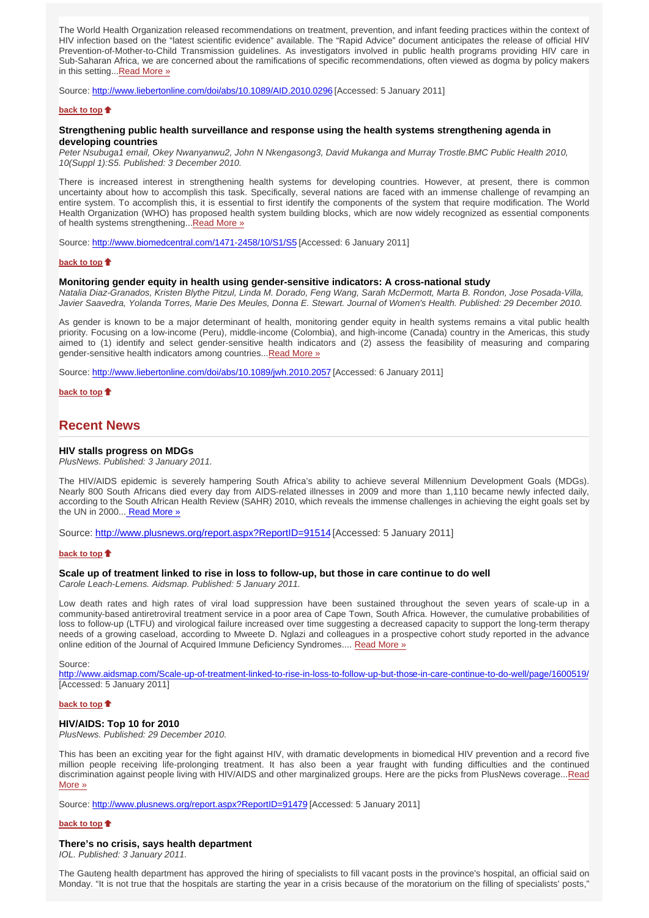The World Health Organization released recommendations on treatment, prevention, and infant feeding practices within the context of HIV infection based on the "latest scientific evidence" available. The "Rapid Advice" document anticipates the release of official HIV Prevention-of-Mother-to-Child Transmission guidelines. As investigators involved in public health programs providing HIV care in Sub-Saharan Africa, we are concerned about the ramifications of specific recommendations, often viewed as dogma by policy makers in this setting...Read More »

Source: http://www.liebertonline.com/doi/abs/10.1089/AID.2010.0296 [Accessed: 5 January 2011]

### **back to top**

## **Strengthening public health surveillance and response using the health systems strengthening agenda in developing countries**

*Peter Nsubuga1 email, Okey Nwanyanwu2, John N Nkengasong3, David Mukanga and Murray Trostle.BMC Public Health 2010, 10(Suppl 1):S5. Published: 3 December 2010.*

There is increased interest in strengthening health systems for developing countries. However, at present, there is common uncertainty about how to accomplish this task. Specifically, several nations are faced with an immense challenge of revamping an entire system. To accomplish this, it is essential to first identify the components of the system that require modification. The World Health Organization (WHO) has proposed health system building blocks, which are now widely recognized as essential components of health systems strengthening...Read More »

Source: http://www.biomedcentral.com/1471-2458/10/S1/S5 [Accessed: 6 January 2011]

#### **back to top**

### **Monitoring gender equity in health using gender-sensitive indicators: A cross-national study**

*Natalia Diaz-Granados, Kristen Blythe Pitzul, Linda M. Dorado, Feng Wang, Sarah McDermott, Marta B. Rondon, Jose Posada-Villa, Javier Saavedra, Yolanda Torres, Marie Des Meules, Donna E. Stewart. Journal of Women's Health. Published: 29 December 2010.*

As gender is known to be a major determinant of health, monitoring gender equity in health systems remains a vital public health priority. Focusing on a low-income (Peru), middle-income (Colombia), and high-income (Canada) country in the Americas, this study aimed to (1) identify and select gender-sensitive health indicators and (2) assess the feasibility of measuring and comparing gender-sensitive health indicators among countries... Read More »

Source: http://www.liebertonline.com/doi/abs/10.1089/jwh.2010.2057 [Accessed: 6 January 2011]

**back to top**

## **Recent News**

### **HIV stalls progress on MDGs**

*PlusNews. Published: 3 January 2011.*

The HIV/AIDS epidemic is severely hampering South Africa's ability to achieve several Millennium Development Goals (MDGs). Nearly 800 South Africans died every day from AIDS-related illnesses in 2009 and more than 1,110 became newly infected daily, according to the South African Health Review (SAHR) 2010, which reveals the immense challenges in achieving the eight goals set by the UN in 2000... Read More »

Source: http://www.plusnews.org/report.aspx?ReportID=91514 [Accessed: 5 January 2011]

### **back to top**

## **Scale up of treatment linked to rise in loss to follow-up, but those in care continue to do well**

*Carole Leach-Lemens. Aidsmap. Published: 5 January 2011.*

Low death rates and high rates of viral load suppression have been sustained throughout the seven years of scale-up in a community-based antiretroviral treatment service in a poor area of Cape Town, South Africa. However, the cumulative probabilities of loss to follow-up (LTFU) and virological failure increased over time suggesting a decreased capacity to support the long-term therapy needs of a growing caseload, according to Mweete D. Nglazi and colleagues in a prospective cohort study reported in the advance online edition of the Journal of Acquired Immune Deficiency Syndromes.... Read More »

Source:

http://www.aidsmap.com/Scale-up-of-treatment-linked-to-rise-in-loss-to-follow-up-but-those-in-care-continue-to-do-well/page/1600519/ [Accessed: 5 January 2011]

## **back to top**

#### **HIV/AIDS: Top 10 for 2010**

*PlusNews. Published: 29 December 2010.*

This has been an exciting year for the fight against HIV, with dramatic developments in biomedical HIV prevention and a record five million people receiving life-prolonging treatment. It has also been a year fraught with funding difficulties and the continued discrimination against people living with HIV/AIDS and other marginalized groups. Here are the picks from PlusNews coverage...Read More »

Source: http://www.plusnews.org/report.aspx?ReportID=91479 [Accessed: 5 January 2011]

### **back to top**  $\triangle$

#### **There's no crisis, says health department**

*IOL. Published: 3 January 2011.*

The Gauteng health department has approved the hiring of specialists to fill vacant posts in the province's hospital, an official said on Monday. "It is not true that the hospitals are starting the year in a crisis because of the moratorium on the filling of specialists' posts,"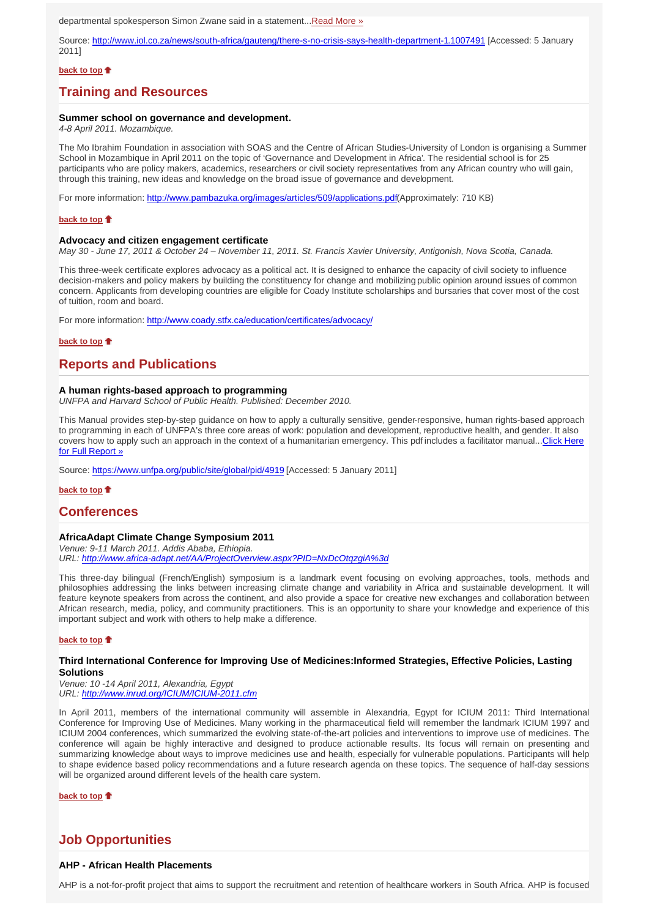departmental spokesperson Simon Zwane said in a statement...Read More »

Source: http://www.iol.co.za/news/south-africa/gauteng/there-s-no-crisis-says-health-department-1.1007491 [Accessed: 5 January 2011]

## **back to top**

## **Training and Resources**

#### **Summer school on governance and development.**

*4-8 April 2011. Mozambique.*

The Mo Ibrahim Foundation in association with SOAS and the Centre of African Studies-University of London is organising a Summer School in Mozambique in April 2011 on the topic of 'Governance and Development in Africa'. The residential school is for 25 participants who are policy makers, academics, researchers or civil society representatives from any African country who will gain, through this training, new ideas and knowledge on the broad issue of governance and development.

For more information: http://www.pambazuka.org/images/articles/509/applications.pdf(Approximately: 710 KB)

#### **back to top**

#### **Advocacy and citizen engagement certificate**

*May 30 - June 17, 2011 & October 24 – November 11, 2011. St. Francis Xavier University, Antigonish, Nova Scotia, Canada.*

This three-week certificate explores advocacy as a political act. It is designed to enhance the capacity of civil society to influence decision-makers and policy makers by building the constituency for change and mobilizing public opinion around issues of common concern. Applicants from developing countries are eligible for Coady Institute scholarships and bursaries that cover most of the cost of tuition, room and board.

For more information: http://www.coady.stfx.ca/education/certificates/advocacy/

#### **back to top**

## **Reports and Publications**

#### **A human rights-based approach to programming**

*UNFPA and Harvard School of Public Health. Published: December 2010.*

This Manual provides step-by-step guidance on how to apply a culturally sensitive, gender-responsive, human rights-based approach to programming in each of UNFPA's three core areas of work: population and development, reproductive health, and gender. It also covers how to apply such an approach in the context of a humanitarian emergency. This pdf includes a facilitator manual...Click Here for Full Report »

Source: https://www.unfpa.org/public/site/global/pid/4919 [Accessed: 5 January 2011]

**back to top**

## **Conferences**

## **AfricaAdapt Climate Change Symposium 2011**

*Venue: 9-11 March 2011. Addis Ababa, Ethiopia. URL: http://www.africa-adapt.net/AA/ProjectOverview.aspx?PID=NxDcOtqzgiA%3d*

This three-day bilingual (French/English) symposium is a landmark event focusing on evolving approaches, tools, methods and philosophies addressing the links between increasing climate change and variability in Africa and sustainable development. It will feature keynote speakers from across the continent, and also provide a space for creative new exchanges and collaboration between African research, media, policy, and community practitioners. This is an opportunity to share your knowledge and experience of this important subject and work with others to help make a difference.

#### **back to top**

### **Third International Conference for Improving Use of Medicines:Informed Strategies, Effective Policies, Lasting Solutions**

*Venue: 10 -14 April 2011, Alexandria, Egypt URL: http://www.inrud.org/ICIUM/ICIUM-2011.cfm*

In April 2011, members of the international community will assemble in Alexandria, Egypt for ICIUM 2011: Third International Conference for Improving Use of Medicines. Many working in the pharmaceutical field will remember the landmark ICIUM 1997 and ICIUM 2004 conferences, which summarized the evolving state-of-the-art policies and interventions to improve use of medicines. The conference will again be highly interactive and designed to produce actionable results. Its focus will remain on presenting and summarizing knowledge about ways to improve medicines use and health, especially for vulnerable populations. Participants will help to shape evidence based policy recommendations and a future research agenda on these topics. The sequence of half-day sessions will be organized around different levels of the health care system.

**back to top**

## **Job Opportunities**

## **AHP - African Health Placements**

AHP is a not-for-profit project that aims to support the recruitment and retention of healthcare workers in South Africa. AHP is focused